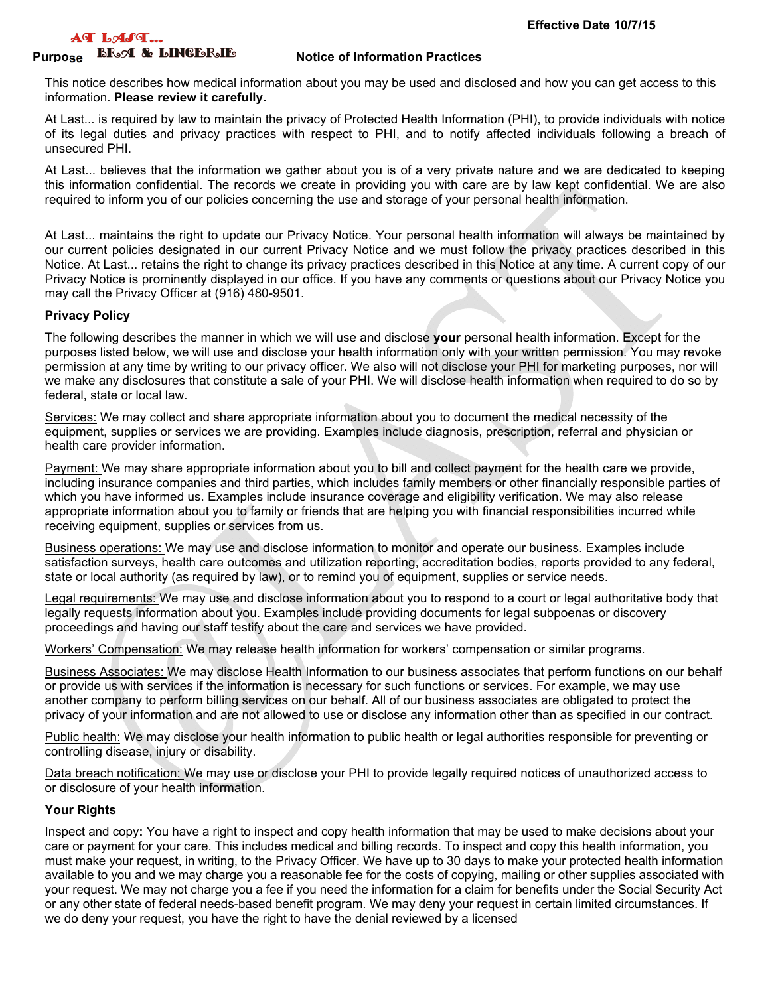# **Purpose BRsx1 & LINGERSIES** Notice of Information Practices *A***IT LAFT...** *AI***T LAFT Effective Date 10/7/15**

This notice describes how medical information about you may be used and disclosed and how you can get access to this information. **Please review it carefully.**

At Last... is required by law to maintain the privacy of Protected Health Information (PHI), to provide individuals with notice of its legal duties and privacy practices with respect to PHI, and to notify affected individuals following a breach of unsecured PHI.

At Last... believes that the information we gather about you is of a very private nature and we are dedicated to keeping this information confidential. The records we create in providing you with care are by law kept confidential. We are also required to inform you of our policies concerning the use and storage of your personal health information.

At Last... maintains the right to update our Privacy Notice. Your personal health information will always be maintained by our current policies designated in our current Privacy Notice and we must follow the privacy practices described in this Notice. At Last... retains the right to change its privacy practices described in this Notice at any time. A current copy of our Privacy Notice is prominently displayed in our office. If you have any comments or questions about our Privacy Notice you may call the Privacy Officer at (916) 480-9501.

# **Privacy Policy**

The following describes the manner in which we will use and disclose **your** personal health information. Except for the purposes listed below, we will use and disclose your health information only with your written permission. You may revoke permission at any time by writing to our privacy officer. We also will not disclose your PHI for marketing purposes, nor will we make any disclosures that constitute a sale of your PHI. We will disclose health information when required to do so by federal, state or local law.

Services: We may collect and share appropriate information about you to document the medical necessity of the equipment, supplies or services we are providing. Examples include diagnosis, prescription, referral and physician or health care provider information.

Payment: We may share appropriate information about you to bill and collect payment for the health care we provide, including insurance companies and third parties, which includes family members or other financially responsible parties of which you have informed us. Examples include insurance coverage and eligibility verification. We may also release appropriate information about you to family or friends that are helping you with financial responsibilities incurred while receiving equipment, supplies or services from us.

Business operations: We may use and disclose information to monitor and operate our business. Examples include satisfaction surveys, health care outcomes and utilization reporting, accreditation bodies, reports provided to any federal, state or local authority (as required by law), or to remind you of equipment, supplies or service needs.

Legal requirements: We may use and disclose information about you to respond to a court or legal authoritative body that legally requests information about you. Examples include providing documents for legal subpoenas or discovery proceedings and having our staff testify about the care and services we have provided.

Workers' Compensation: We may release health information for workers' compensation or similar programs.

Business Associates: We may disclose Health Information to our business associates that perform functions on our behalf or provide us with services if the information is necessary for such functions or services. For example, we may use another company to perform billing services on our behalf. All of our business associates are obligated to protect the privacy of your information and are not allowed to use or disclose any information other than as specified in our contract.

Public health: We may disclose your health information to public health or legal authorities responsible for preventing or controlling disease, injury or disability.

Data breach notification: We may use or disclose your PHI to provide legally required notices of unauthorized access to or disclosure of your health information.

#### **Your Rights**

Inspect and copy**:** You have a right to inspect and copy health information that may be used to make decisions about your care or payment for your care. This includes medical and billing records. To inspect and copy this health information, you must make your request, in writing, to the Privacy Officer. We have up to 30 days to make your protected health information available to you and we may charge you a reasonable fee for the costs of copying, mailing or other supplies associated with your request. We may not charge you a fee if you need the information for a claim for benefits under the Social Security Act or any other state of federal needs-based benefit program. We may deny your request in certain limited circumstances. If we do deny your request, you have the right to have the denial reviewed by a licensed